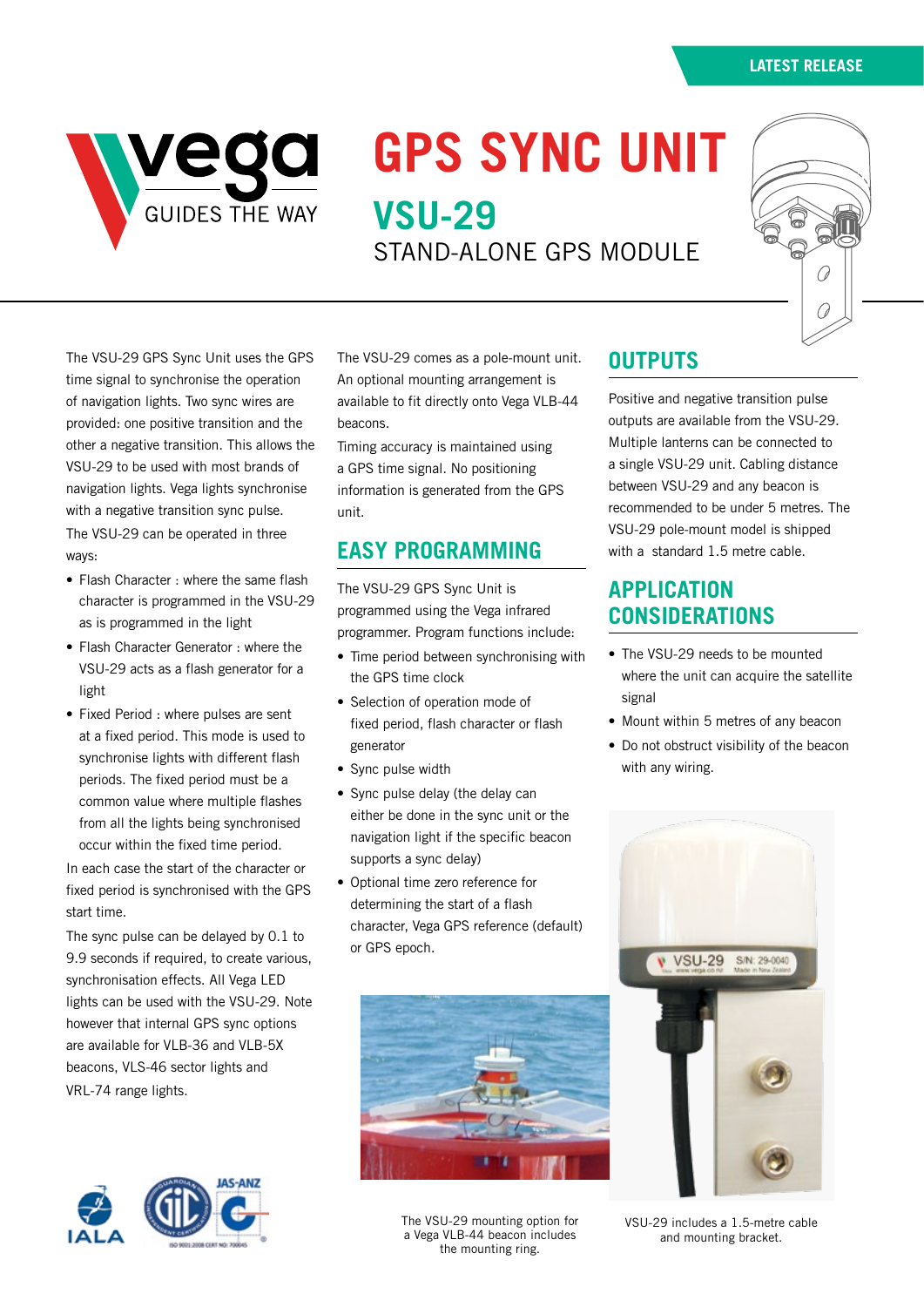

# **GPS SYNC UNIT VSU-29**

STAND-ALONE GPS MODULE



The VSU-29 GPS Sync Unit uses the GPS time signal to synchronise the operation of navigation lights. Two sync wires are provided: one positive transition and the other a negative transition. This allows the VSU-29 to be used with most brands of navigation lights. Vega lights synchronise with a negative transition sync pulse. The VSU-29 can be operated in three ways:

- Flash Character : where the same flash character is programmed in the VSU-29 as is programmed in the light
- Flash Character Generator : where the VSU-29 acts as a flash generator for a light
- Fixed Period : where pulses are sent at a fixed period. This mode is used to synchronise lights with different flash periods. The fixed period must be a common value where multiple flashes from all the lights being synchronised occur within the fixed time period.

In each case the start of the character or fixed period is synchronised with the GPS start time.

The sync pulse can be delayed by 0.1 to 9.9 seconds if required, to create various, synchronisation effects. All Vega LED lights can be used with the VSU-29. Note however that internal GPS sync options are available for VLB-36 and VLB-5X beacons, VLS-46 sector lights and VRL-74 range lights.



The VSU-29 comes as a pole-mount unit. An optional mounting arrangement is available to fit directly onto Vega VLB-44 beacons.

Timing accuracy is maintained using a GPS time signal. No positioning information is generated from the GPS unit.

# **EASY PROGRAMMING**

The VSU-29 GPS Sync Unit is programmed using the Vega infrared programmer. Program functions include:

- Time period between synchronising with the GPS time clock
- Selection of operation mode of fixed period, flash character or flash generator
- Sync pulse width
- Sync pulse delay (the delay can either be done in the sync unit or the navigation light if the specific beacon supports a sync delay)
- Optional time zero reference for determining the start of a flash character, Vega GPS reference (default) or GPS epoch.



The VSU-29 mounting option for a Vega VLB-44 beacon includes the mounting ring.

## **OUTPUTS**

Positive and negative transition pulse outputs are available from the VSU-29. Multiple lanterns can be connected to a single VSU-29 unit. Cabling distance between VSU-29 and any beacon is recommended to be under 5 metres. The VSU-29 pole-mount model is shipped with a standard 1.5 metre cable.

## **APPLICATION CONSIDERATIONS**

- The VSU-29 needs to be mounted where the unit can acquire the satellite signal
- Mount within 5 metres of any beacon
- Do not obstruct visibility of the beacon with any wiring.



VSU-29 includes a 1.5-metre cable and mounting bracket.